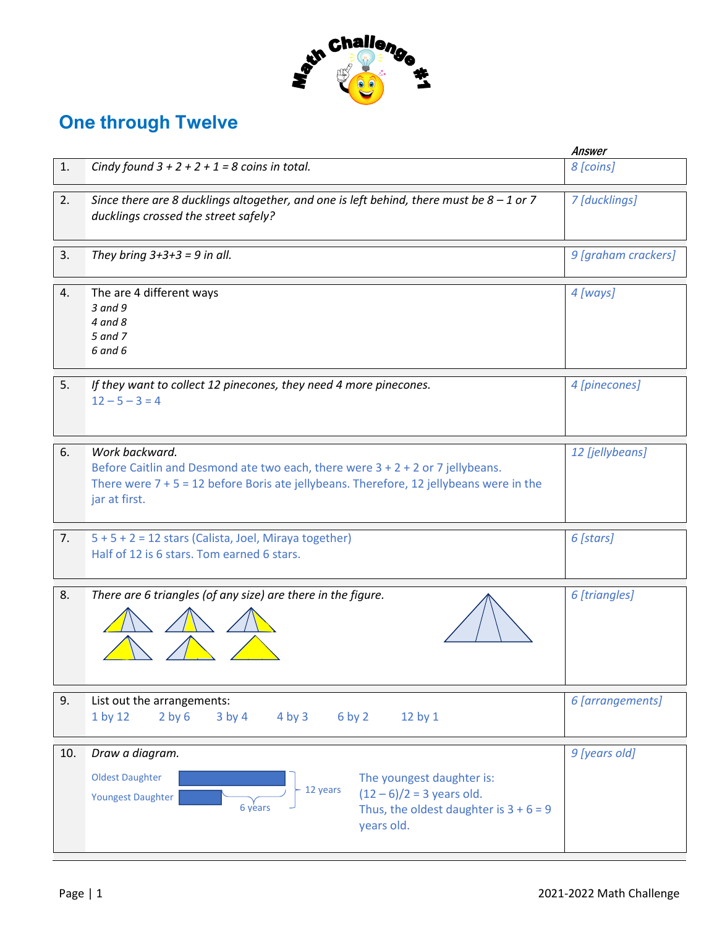

## **One through Twelve**

|     |                                                                                                                                                                                                                  | Answer              |
|-----|------------------------------------------------------------------------------------------------------------------------------------------------------------------------------------------------------------------|---------------------|
| 1.  | Cindy found $3 + 2 + 2 + 1 = 8$ coins in total.                                                                                                                                                                  | 8 [coins]           |
| 2.  | Since there are 8 ducklings altogether, and one is left behind, there must be $8 - 1$ or 7<br>ducklings crossed the street safely?                                                                               | 7 [ducklings]       |
| 3.  | They bring $3+3+3=9$ in all.                                                                                                                                                                                     | 9 [graham crackers] |
| 4.  | The are 4 different ways<br>3 and 9<br>4 and 8<br>5 and 7<br>6 and 6                                                                                                                                             | 4 [ways]            |
| 5.  | If they want to collect 12 pinecones, they need 4 more pinecones.<br>$12 - 5 - 3 = 4$                                                                                                                            | 4 [pinecones]       |
| 6.  | Work backward.<br>Before Caitlin and Desmond ate two each, there were $3 + 2 + 2$ or 7 jellybeans.<br>There were $7 + 5 = 12$ before Boris ate jellybeans. Therefore, 12 jellybeans were in the<br>jar at first. | 12 [jellybeans]     |
| 7.  | $5 + 5 + 2 = 12$ stars (Calista, Joel, Miraya together)<br>Half of 12 is 6 stars. Tom earned 6 stars.                                                                                                            | 6 [stars]           |
| 8.  | There are 6 triangles (of any size) are there in the figure.                                                                                                                                                     | 6 [triangles]       |
| 9.  | List out the arrangements:<br>$2$ by 6<br>6 by 2<br>1 by 12<br>$3$ by 4<br>$4$ by $3$<br>12 by 1                                                                                                                 | 6 [arrangements]    |
| 10. | Draw a diagram.                                                                                                                                                                                                  | 9 [years old]       |
|     | <b>Oldest Daughter</b><br>The youngest daughter is:<br>12 years<br>$(12 - 6)/2 = 3$ years old.<br><b>Youngest Daughter</b><br>6 years<br>Thus, the oldest daughter is $3 + 6 = 9$<br>years old.                  |                     |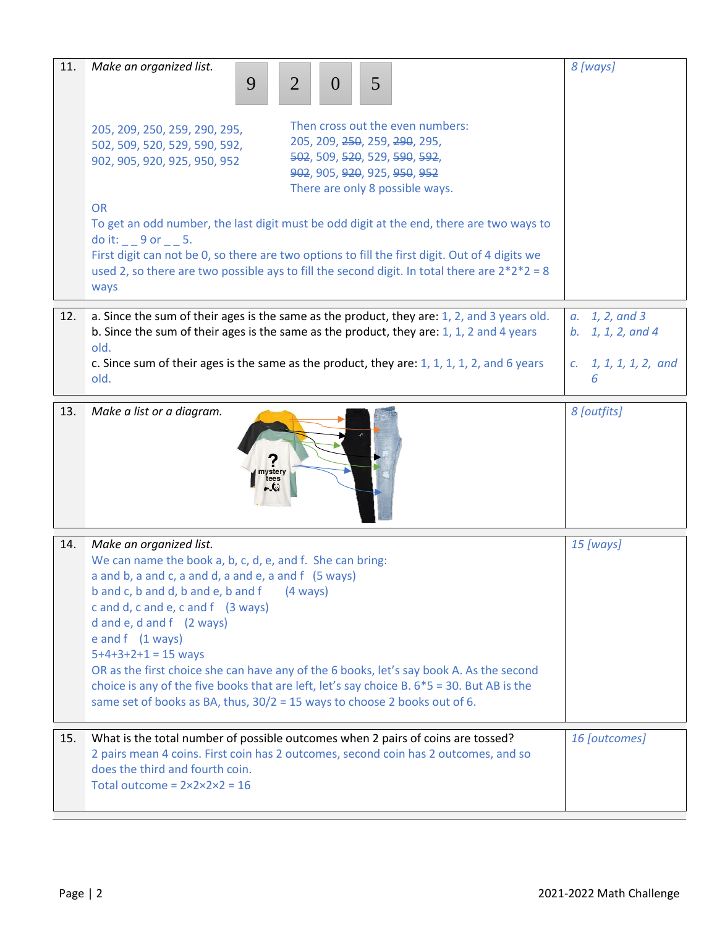| 11. | Make an organized list.<br>9<br>$\overline{2}$                                                                                                                                                                                                                                                                                      | 5<br>$\theta$                                                                                                                                                                                                                                                                            | 8 [ways]                                                                |
|-----|-------------------------------------------------------------------------------------------------------------------------------------------------------------------------------------------------------------------------------------------------------------------------------------------------------------------------------------|------------------------------------------------------------------------------------------------------------------------------------------------------------------------------------------------------------------------------------------------------------------------------------------|-------------------------------------------------------------------------|
|     | 205, 209, 250, 259, 290, 295,<br>502, 509, 520, 529, 590, 592,<br>902, 905, 920, 925, 950, 952                                                                                                                                                                                                                                      | Then cross out the even numbers:<br>205, 209, 250, 259, 290, 295,<br>502, 509, 520, 529, 590, 592,<br>902, 905, 920, 925, 950, 952<br>There are only 8 possible ways.                                                                                                                    |                                                                         |
|     | <b>OR</b><br>To get an odd number, the last digit must be odd digit at the end, there are two ways to<br>do it: 9 or 5.<br>First digit can not be 0, so there are two options to fill the first digit. Out of 4 digits we<br>used 2, so there are two possible ays to fill the second digit. In total there are $2*2*2 = 8$<br>ways |                                                                                                                                                                                                                                                                                          |                                                                         |
| 12. | old.<br>old.                                                                                                                                                                                                                                                                                                                        | a. Since the sum of their ages is the same as the product, they are: 1, 2, and 3 years old.<br>b. Since the sum of their ages is the same as the product, they are: $1, 1, 2$ and 4 years<br>c. Since sum of their ages is the same as the product, they are: 1, 1, 1, 1, 2, and 6 years | $a. \t1, 2, and 3$<br>b. 1, 1, 2, and 4<br>c. $1, 1, 1, 1, 2,$ and<br>6 |
| 13. | Make a list or a diagram.<br>mystery<br>tees                                                                                                                                                                                                                                                                                        |                                                                                                                                                                                                                                                                                          | 8 [outfits]                                                             |

| 14. | Make an organized list.<br>We can name the book a, b, c, d, e, and f. She can bring:<br>a and b, a and c, a and d, a and e, a and f (5 ways)<br>b and c, b and d, b and e, b and f $(4 \text{ ways})$<br>c and d, c and e, c and f (3 ways)<br>d and $e$ , d and $f$ (2 ways)<br>e and $f(1)$ ways)<br>$5+4+3+2+1 = 15$ ways<br>OR as the first choice she can have any of the 6 books, let's say book A. As the second<br>choice is any of the five books that are left, let's say choice B. $6*5 = 30$ . But AB is the<br>same set of books as BA, thus, 30/2 = 15 ways to choose 2 books out of 6. | $15$ [ways]   |
|-----|-------------------------------------------------------------------------------------------------------------------------------------------------------------------------------------------------------------------------------------------------------------------------------------------------------------------------------------------------------------------------------------------------------------------------------------------------------------------------------------------------------------------------------------------------------------------------------------------------------|---------------|
|     |                                                                                                                                                                                                                                                                                                                                                                                                                                                                                                                                                                                                       |               |
| 15. | What is the total number of possible outcomes when 2 pairs of coins are tossed?<br>2 pairs mean 4 coins. First coin has 2 outcomes, second coin has 2 outcomes, and so<br>does the third and fourth coin.<br>Total outcome = $2 \times 2 \times 2 \times 2 = 16$                                                                                                                                                                                                                                                                                                                                      | 16 [outcomes] |